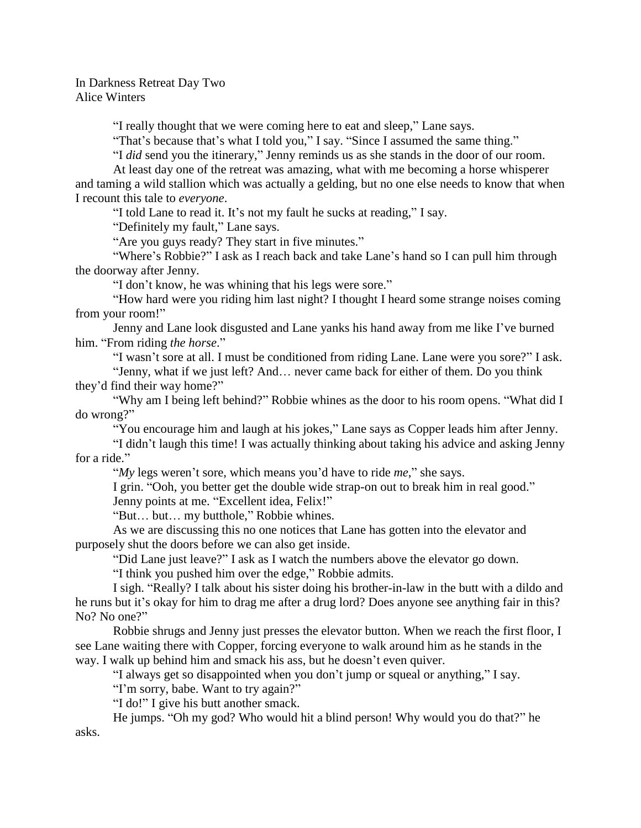In Darkness Retreat Day Two Alice Winters

"I really thought that we were coming here to eat and sleep," Lane says.

"That's because that's what I told you," I say. "Since I assumed the same thing."

"I *did* send you the itinerary," Jenny reminds us as she stands in the door of our room.

At least day one of the retreat was amazing, what with me becoming a horse whisperer and taming a wild stallion which was actually a gelding, but no one else needs to know that when I recount this tale to *everyone*.

"I told Lane to read it. It's not my fault he sucks at reading," I say.

"Definitely my fault," Lane says.

"Are you guys ready? They start in five minutes."

"Where's Robbie?" I ask as I reach back and take Lane's hand so I can pull him through the doorway after Jenny.

"I don't know, he was whining that his legs were sore."

"How hard were you riding him last night? I thought I heard some strange noises coming from your room!"

Jenny and Lane look disgusted and Lane yanks his hand away from me like I've burned him. "From riding *the horse*."

"I wasn't sore at all. I must be conditioned from riding Lane. Lane were you sore?" I ask.

"Jenny, what if we just left? And… never came back for either of them. Do you think they'd find their way home?"

"Why am I being left behind?" Robbie whines as the door to his room opens. "What did I do wrong?"

"You encourage him and laugh at his jokes," Lane says as Copper leads him after Jenny.

"I didn't laugh this time! I was actually thinking about taking his advice and asking Jenny for a ride."

"*My* legs weren't sore, which means you'd have to ride *me*," she says.

I grin. "Ooh, you better get the double wide strap-on out to break him in real good."

Jenny points at me. "Excellent idea, Felix!"

"But… but… my butthole," Robbie whines.

As we are discussing this no one notices that Lane has gotten into the elevator and purposely shut the doors before we can also get inside.

"Did Lane just leave?" I ask as I watch the numbers above the elevator go down.

"I think you pushed him over the edge," Robbie admits.

I sigh. "Really? I talk about his sister doing his brother-in-law in the butt with a dildo and he runs but it's okay for him to drag me after a drug lord? Does anyone see anything fair in this? No? No one?"

Robbie shrugs and Jenny just presses the elevator button. When we reach the first floor, I see Lane waiting there with Copper, forcing everyone to walk around him as he stands in the way. I walk up behind him and smack his ass, but he doesn't even quiver.

"I always get so disappointed when you don't jump or squeal or anything," I say.

"I'm sorry, babe. Want to try again?"

"I do!" I give his butt another smack.

He jumps. "Oh my god? Who would hit a blind person! Why would you do that?" he asks.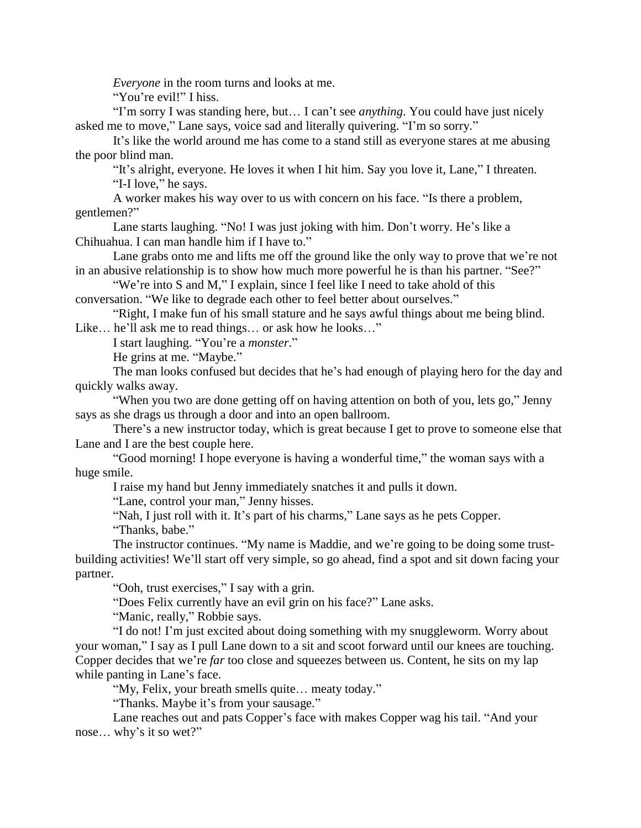*Everyone* in the room turns and looks at me.

"You're evil!" I hiss.

"I'm sorry I was standing here, but… I can't see *anything*. You could have just nicely asked me to move," Lane says, voice sad and literally quivering. "I'm so sorry."

It's like the world around me has come to a stand still as everyone stares at me abusing the poor blind man.

"It's alright, everyone. He loves it when I hit him. Say you love it, Lane," I threaten. "I-I love," he says.

A worker makes his way over to us with concern on his face. "Is there a problem, gentlemen?"

Lane starts laughing. "No! I was just joking with him. Don't worry. He's like a Chihuahua. I can man handle him if I have to."

Lane grabs onto me and lifts me off the ground like the only way to prove that we're not in an abusive relationship is to show how much more powerful he is than his partner. "See?"

"We're into S and M," I explain, since I feel like I need to take ahold of this conversation. "We like to degrade each other to feel better about ourselves."

"Right, I make fun of his small stature and he says awful things about me being blind. Like… he'll ask me to read things… or ask how he looks…"

I start laughing. "You're a *monster*."

He grins at me. "Maybe."

The man looks confused but decides that he's had enough of playing hero for the day and quickly walks away.

"When you two are done getting off on having attention on both of you, lets go," Jenny says as she drags us through a door and into an open ballroom.

There's a new instructor today, which is great because I get to prove to someone else that Lane and I are the best couple here.

"Good morning! I hope everyone is having a wonderful time," the woman says with a huge smile.

I raise my hand but Jenny immediately snatches it and pulls it down.

"Lane, control your man," Jenny hisses.

"Nah, I just roll with it. It's part of his charms," Lane says as he pets Copper.

"Thanks, babe."

The instructor continues. "My name is Maddie, and we're going to be doing some trustbuilding activities! We'll start off very simple, so go ahead, find a spot and sit down facing your partner.

"Ooh, trust exercises," I say with a grin.

"Does Felix currently have an evil grin on his face?" Lane asks.

"Manic, really," Robbie says.

"I do not! I'm just excited about doing something with my snuggleworm. Worry about your woman," I say as I pull Lane down to a sit and scoot forward until our knees are touching. Copper decides that we're *far* too close and squeezes between us. Content, he sits on my lap while panting in Lane's face.

"My, Felix, your breath smells quite… meaty today."

"Thanks. Maybe it's from your sausage."

Lane reaches out and pats Copper's face with makes Copper wag his tail. "And your nose… why's it so wet?"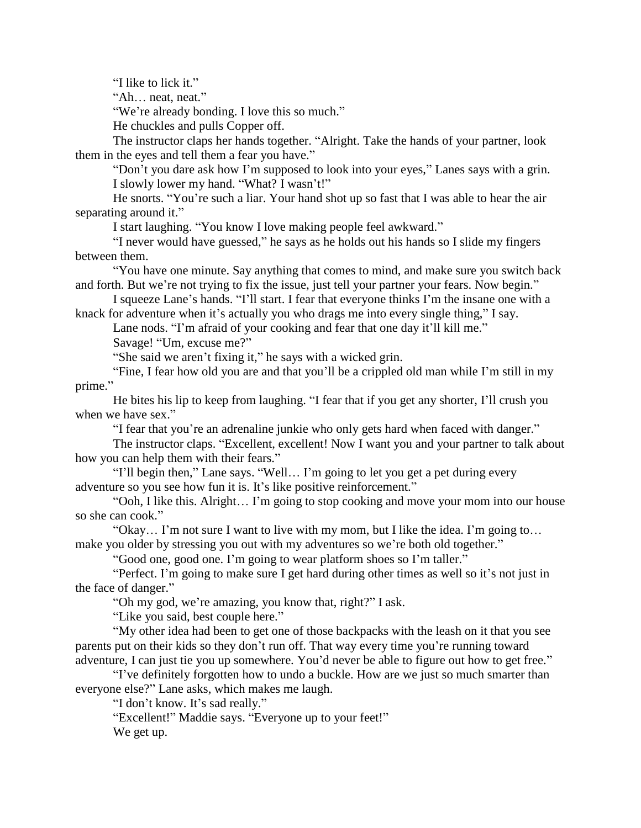"I like to lick it."

"Ah… neat, neat."

"We're already bonding. I love this so much."

He chuckles and pulls Copper off.

The instructor claps her hands together. "Alright. Take the hands of your partner, look them in the eyes and tell them a fear you have."

"Don't you dare ask how I'm supposed to look into your eyes," Lanes says with a grin. I slowly lower my hand. "What? I wasn't!"

He snorts. "You're such a liar. Your hand shot up so fast that I was able to hear the air separating around it."

I start laughing. "You know I love making people feel awkward."

"I never would have guessed," he says as he holds out his hands so I slide my fingers between them.

"You have one minute. Say anything that comes to mind, and make sure you switch back and forth. But we're not trying to fix the issue, just tell your partner your fears. Now begin."

I squeeze Lane's hands. "I'll start. I fear that everyone thinks I'm the insane one with a knack for adventure when it's actually you who drags me into every single thing," I say.

Lane nods. "I'm afraid of your cooking and fear that one day it'll kill me."

Savage! "Um, excuse me?"

"She said we aren't fixing it," he says with a wicked grin.

"Fine, I fear how old you are and that you'll be a crippled old man while I'm still in my prime."

He bites his lip to keep from laughing. "I fear that if you get any shorter, I'll crush you when we have sex."

"I fear that you're an adrenaline junkie who only gets hard when faced with danger."

The instructor claps. "Excellent, excellent! Now I want you and your partner to talk about how you can help them with their fears."

"I'll begin then," Lane says. "Well… I'm going to let you get a pet during every adventure so you see how fun it is. It's like positive reinforcement."

"Ooh, I like this. Alright… I'm going to stop cooking and move your mom into our house so she can cook."

"Okay… I'm not sure I want to live with my mom, but I like the idea. I'm going to… make you older by stressing you out with my adventures so we're both old together."

"Good one, good one. I'm going to wear platform shoes so I'm taller."

"Perfect. I'm going to make sure I get hard during other times as well so it's not just in the face of danger."

"Oh my god, we're amazing, you know that, right?" I ask.

"Like you said, best couple here."

"My other idea had been to get one of those backpacks with the leash on it that you see parents put on their kids so they don't run off. That way every time you're running toward adventure, I can just tie you up somewhere. You'd never be able to figure out how to get free."

"I've definitely forgotten how to undo a buckle. How are we just so much smarter than everyone else?" Lane asks, which makes me laugh.

"I don't know. It's sad really."

"Excellent!" Maddie says. "Everyone up to your feet!"

We get up.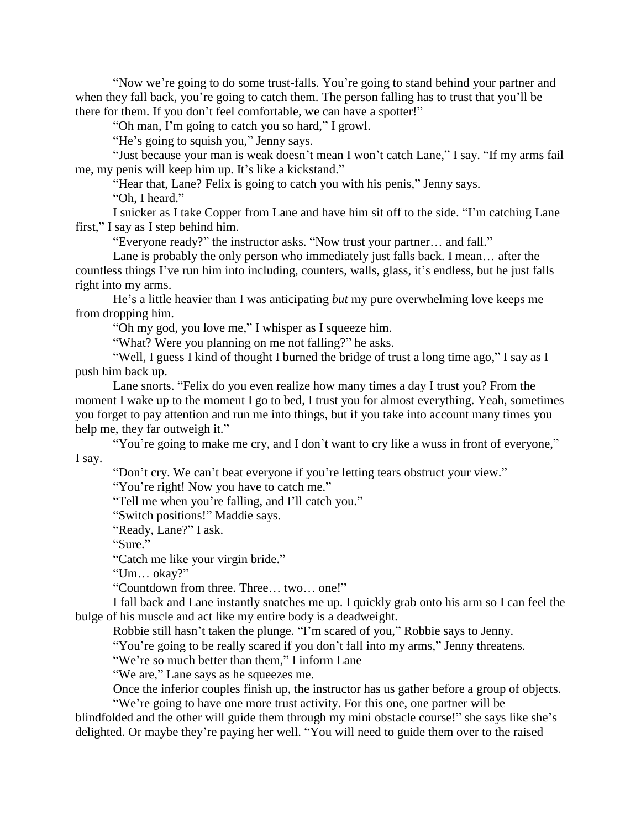"Now we're going to do some trust-falls. You're going to stand behind your partner and when they fall back, you're going to catch them. The person falling has to trust that you'll be there for them. If you don't feel comfortable, we can have a spotter!"

"Oh man, I'm going to catch you so hard," I growl.

"He's going to squish you," Jenny says.

"Just because your man is weak doesn't mean I won't catch Lane," I say. "If my arms fail me, my penis will keep him up. It's like a kickstand."

"Hear that, Lane? Felix is going to catch you with his penis," Jenny says. "Oh, I heard."

I snicker as I take Copper from Lane and have him sit off to the side. "I'm catching Lane first," I say as I step behind him.

"Everyone ready?" the instructor asks. "Now trust your partner… and fall."

Lane is probably the only person who immediately just falls back. I mean… after the countless things I've run him into including, counters, walls, glass, it's endless, but he just falls right into my arms.

He's a little heavier than I was anticipating *but* my pure overwhelming love keeps me from dropping him.

"Oh my god, you love me," I whisper as I squeeze him.

"What? Were you planning on me not falling?" he asks.

"Well, I guess I kind of thought I burned the bridge of trust a long time ago," I say as I push him back up.

Lane snorts. "Felix do you even realize how many times a day I trust you? From the moment I wake up to the moment I go to bed, I trust you for almost everything. Yeah, sometimes you forget to pay attention and run me into things, but if you take into account many times you help me, they far outweigh it."

"You're going to make me cry, and I don't want to cry like a wuss in front of everyone," I say.

"Don't cry. We can't beat everyone if you're letting tears obstruct your view."

"You're right! Now you have to catch me."

"Tell me when you're falling, and I'll catch you."

"Switch positions!" Maddie says.

"Ready, Lane?" I ask.

"Sure."

"Catch me like your virgin bride."

"Um… okay?"

"Countdown from three. Three… two… one!"

I fall back and Lane instantly snatches me up. I quickly grab onto his arm so I can feel the bulge of his muscle and act like my entire body is a deadweight.

Robbie still hasn't taken the plunge. "I'm scared of you," Robbie says to Jenny.

"You're going to be really scared if you don't fall into my arms," Jenny threatens.

"We're so much better than them," I inform Lane

"We are," Lane says as he squeezes me.

Once the inferior couples finish up, the instructor has us gather before a group of objects. "We're going to have one more trust activity. For this one, one partner will be

blindfolded and the other will guide them through my mini obstacle course!" she says like she's delighted. Or maybe they're paying her well. "You will need to guide them over to the raised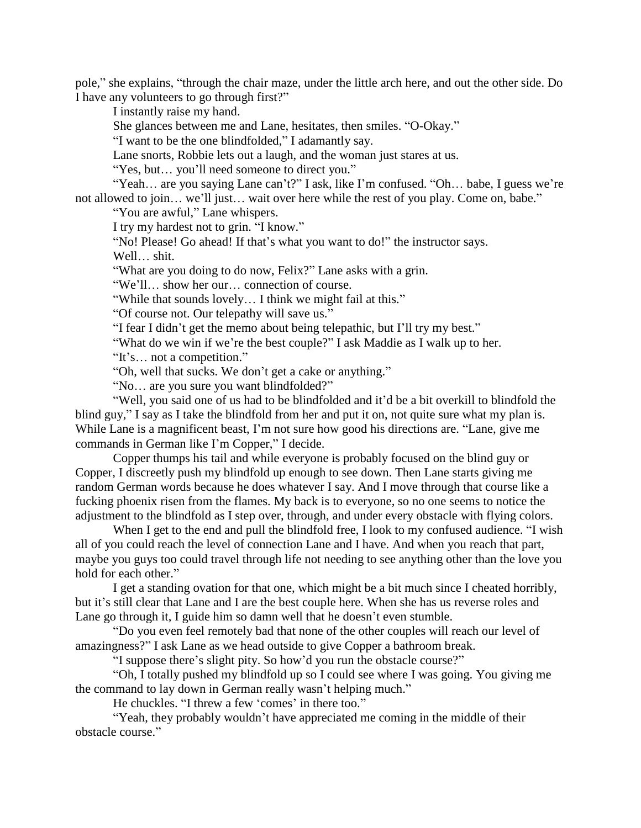pole," she explains, "through the chair maze, under the little arch here, and out the other side. Do I have any volunteers to go through first?"

I instantly raise my hand.

She glances between me and Lane, hesitates, then smiles. "O-Okay."

"I want to be the one blindfolded," I adamantly say.

Lane snorts, Robbie lets out a laugh, and the woman just stares at us.

"Yes, but… you'll need someone to direct you."

"Yeah... are you saying Lane can't?" I ask, like I'm confused. "Oh... babe, I guess we're not allowed to join… we'll just… wait over here while the rest of you play. Come on, babe."

"You are awful," Lane whispers.

I try my hardest not to grin. "I know."

"No! Please! Go ahead! If that's what you want to do!" the instructor says. Well… shit.

"What are you doing to do now, Felix?" Lane asks with a grin.

"We'll… show her our… connection of course.

"While that sounds lovely… I think we might fail at this."

"Of course not. Our telepathy will save us."

"I fear I didn't get the memo about being telepathic, but I'll try my best."

"What do we win if we're the best couple?" I ask Maddie as I walk up to her.

"It's… not a competition."

"Oh, well that sucks. We don't get a cake or anything."

"No… are you sure you want blindfolded?"

"Well, you said one of us had to be blindfolded and it'd be a bit overkill to blindfold the blind guy," I say as I take the blindfold from her and put it on, not quite sure what my plan is. While Lane is a magnificent beast, I'm not sure how good his directions are. "Lane, give me commands in German like I'm Copper," I decide.

Copper thumps his tail and while everyone is probably focused on the blind guy or Copper, I discreetly push my blindfold up enough to see down. Then Lane starts giving me random German words because he does whatever I say. And I move through that course like a fucking phoenix risen from the flames. My back is to everyone, so no one seems to notice the adjustment to the blindfold as I step over, through, and under every obstacle with flying colors.

When I get to the end and pull the blindfold free, I look to my confused audience. "I wish all of you could reach the level of connection Lane and I have. And when you reach that part, maybe you guys too could travel through life not needing to see anything other than the love you hold for each other."

I get a standing ovation for that one, which might be a bit much since I cheated horribly, but it's still clear that Lane and I are the best couple here. When she has us reverse roles and Lane go through it, I guide him so damn well that he doesn't even stumble.

"Do you even feel remotely bad that none of the other couples will reach our level of amazingness?" I ask Lane as we head outside to give Copper a bathroom break.

"I suppose there's slight pity. So how'd you run the obstacle course?"

"Oh, I totally pushed my blindfold up so I could see where I was going. You giving me the command to lay down in German really wasn't helping much."

He chuckles. "I threw a few 'comes' in there too."

"Yeah, they probably wouldn't have appreciated me coming in the middle of their obstacle course."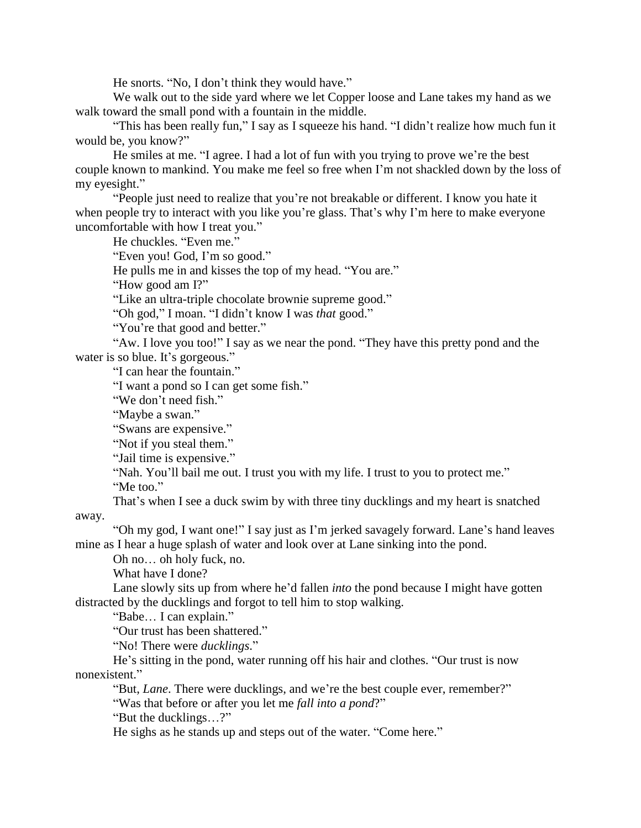He snorts. "No, I don't think they would have."

We walk out to the side yard where we let Copper loose and Lane takes my hand as we walk toward the small pond with a fountain in the middle.

"This has been really fun," I say as I squeeze his hand. "I didn't realize how much fun it would be, you know?"

He smiles at me. "I agree. I had a lot of fun with you trying to prove we're the best couple known to mankind. You make me feel so free when I'm not shackled down by the loss of my eyesight."

"People just need to realize that you're not breakable or different. I know you hate it when people try to interact with you like you're glass. That's why I'm here to make everyone uncomfortable with how I treat you."

He chuckles. "Even me."

"Even you! God, I'm so good."

He pulls me in and kisses the top of my head. "You are."

"How good am I?"

"Like an ultra-triple chocolate brownie supreme good."

"Oh god," I moan. "I didn't know I was *that* good."

"You're that good and better."

"Aw. I love you too!" I say as we near the pond. "They have this pretty pond and the water is so blue. It's gorgeous."

"I can hear the fountain."

"I want a pond so I can get some fish."

"We don't need fish."

"Maybe a swan."

"Swans are expensive."

"Not if you steal them."

"Jail time is expensive."

"Nah. You'll bail me out. I trust you with my life. I trust to you to protect me."

"Me too."

That's when I see a duck swim by with three tiny ducklings and my heart is snatched away.

"Oh my god, I want one!" I say just as I'm jerked savagely forward. Lane's hand leaves mine as I hear a huge splash of water and look over at Lane sinking into the pond.

Oh no… oh holy fuck, no.

What have I done?

Lane slowly sits up from where he'd fallen *into* the pond because I might have gotten distracted by the ducklings and forgot to tell him to stop walking.

"Babe… I can explain."

"Our trust has been shattered."

"No! There were *ducklings*."

He's sitting in the pond, water running off his hair and clothes. "Our trust is now nonexistent."

"But, *Lane*. There were ducklings, and we're the best couple ever, remember?"

"Was that before or after you let me *fall into a pond*?"

"But the ducklings…?"

He sighs as he stands up and steps out of the water. "Come here."